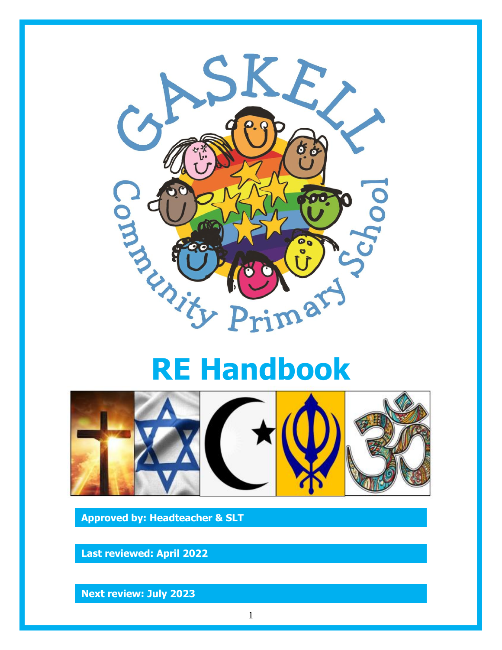



**Approved by: Headteacher & SLT**

**Last reviewed: April 2022**

**Next review: July 2023**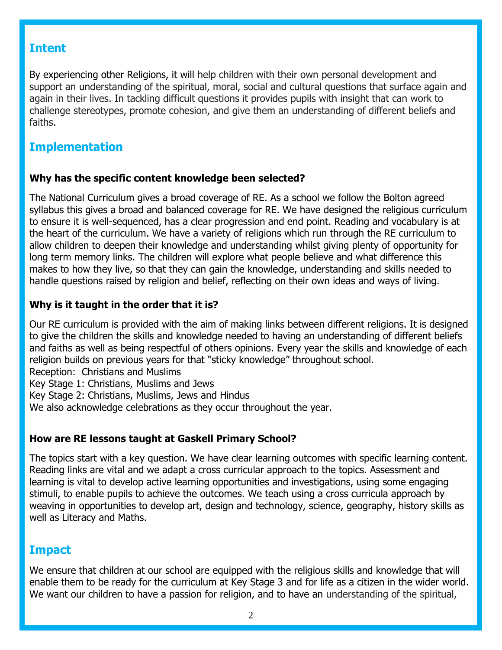## **Intent**

By experiencing other Religions, it will help children with their own personal development and support an understanding of the spiritual, moral, social and cultural questions that surface again and again in their lives. In tackling difficult questions it provides pupils with insight that can work to challenge stereotypes, promote cohesion, and give them an understanding of different beliefs and faiths.

# **Implementation**

### **Why has the specific content knowledge been selected?**

The National Curriculum gives a broad coverage of RE. As a school we follow the Bolton agreed syllabus this gives a broad and balanced coverage for RE. We have designed the religious curriculum to ensure it is well-sequenced, has a clear progression and end point. Reading and vocabulary is at the heart of the curriculum. We have a variety of religions which run through the RE curriculum to allow children to deepen their knowledge and understanding whilst giving plenty of opportunity for long term memory links. The children will explore what people believe and what difference this makes to how they live, so that they can gain the knowledge, understanding and skills needed to handle questions raised by religion and belief, reflecting on their own ideas and ways of living.

## **Why is it taught in the order that it is?**

Our RE curriculum is provided with the aim of making links between different religions. It is designed to give the children the skills and knowledge needed to having an understanding of different beliefs and faiths as well as being respectful of others opinions. Every year the skills and knowledge of each religion builds on previous years for that "sticky knowledge" throughout school.

Reception: Christians and Muslims

Key Stage 1: Christians, Muslims and Jews

Key Stage 2: Christians, Muslims, Jews and Hindus

We also acknowledge celebrations as they occur throughout the year.

## **How are RE lessons taught at Gaskell Primary School?**

The topics start with a key question. We have clear learning outcomes with specific learning content. Reading links are vital and we adapt a cross curricular approach to the topics. Assessment and learning is vital to develop active learning opportunities and investigations, using some engaging stimuli, to enable pupils to achieve the outcomes. We teach using a cross curricula approach by weaving in opportunities to develop art, design and technology, science, geography, history skills as well as Literacy and Maths.

# **Impact**

We ensure that children at our school are equipped with the religious skills and knowledge that will enable them to be ready for the curriculum at Key Stage 3 and for life as a citizen in the wider world. We want our children to have a passion for religion, and to have an understanding of the spiritual,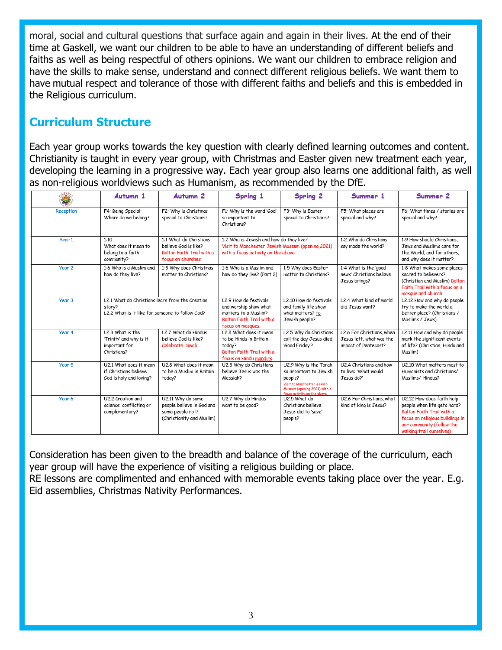moral, social and cultural questions that surface again and again in their lives. At the end of their time at Gaskell, we want our children to be able to have an understanding of different beliefs and faiths as well as being respectful of others opinions. We want our children to embrace religion and have the skills to make sense, understand and connect different religious beliefs. We want them to have mutual respect and tolerance of those with different faiths and beliefs and this is embedded in the Religious curriculum.

# **Curriculum Structure**

Each year group works towards the key question with clearly defined learning outcomes and content. Christianity is taught in every year group, with Christmas and Easter given new treatment each year, developing the learning in a progressive way. Each year group also learns one additional faith, as well as non-religious worldviews such as Humanism, as recommended by the DfE.

|           | Autumn 1                                                                                                                                                            | Autumn <sub>2</sub>                                                                             | Spring 1                                                                                                                          | Spring 2                                                                                                                                                | Summer 1                                                                      | Summer 2                                                                                                                                                                          |
|-----------|---------------------------------------------------------------------------------------------------------------------------------------------------------------------|-------------------------------------------------------------------------------------------------|-----------------------------------------------------------------------------------------------------------------------------------|---------------------------------------------------------------------------------------------------------------------------------------------------------|-------------------------------------------------------------------------------|-----------------------------------------------------------------------------------------------------------------------------------------------------------------------------------|
| Reception | F4: Being Special:<br>Where do we belong?                                                                                                                           | F2: Why is Christmas<br>special to Christians?                                                  | F1: Why is the word 'God'<br>so important to<br>Christians?                                                                       | F3: Why is Easter<br>special to Christians?                                                                                                             | F5: What places are<br>special and why?                                       | F6: What times / stories are<br>special and why?                                                                                                                                  |
| Year 1    | 1:1 What do Christians<br>1:10<br>What does it mean to<br>believe God is like?<br>Bolton Faith Trail with a<br>belong to a faith<br>focus on churches<br>community? |                                                                                                 | 1:7 Who is Jewish and how do they live?<br>Visit to Manchester Jewish Museum (opening 2021)<br>with a focus activity on the above |                                                                                                                                                         | 1:2 Who do Christians<br>say made the world?                                  | 1:9 How should Christians.<br>Jews and Muslims care for<br>the World, and for others.<br>and why does it matter?                                                                  |
| Year 2    | 1:6 Who is a Muslim and<br>how do they live?                                                                                                                        | 1:3 Why does Christmas<br>matter to Christians?                                                 | 1:6 Who is a Muslim and<br>how do they live? (Part 2)                                                                             | 1:5 Why does Easter<br>matter to Christians?                                                                                                            | 1:4 What is the 'good<br>news' Christians believe<br>Jesus brings?            | 1:8 What makes some places<br>sacred to believers?<br>(Christian and Muslim) Bolton<br>Faith Trail with a focus on a<br>mosque and church                                         |
| Year 3    | L2.1 What do Christians learn from the Creation<br>story?<br>L2.2 What is it like for someone to follow God?                                                        |                                                                                                 | L2.9 How do festivals<br>and worship show what<br>matters to a Muslim?<br>Bolton Faith Trail with a<br>focus on mosques           | L2.10 How do festivals<br>and family life show<br>what matters? to<br>Jewish people?                                                                    | L2.4 What kind of world<br>did Jesus want?                                    | L2.12 How and why do people<br>try to make the world a<br>better place? (Christians /<br>Muslims / Jews)                                                                          |
| Year 4    | L2.3 What is the<br>'Trinity' and why is it<br>important for<br>Christians?                                                                                         | L2.7 What do Hindus<br>believe God is like?<br>Celebrate Diwali                                 | L2.8 What does it mean<br>to be Hindu in Britain<br>today?<br>Bolton Faith Trail with a<br>focus on Hindu mandirs                 | L2.5 Why do Christians<br>call the day Jesus died<br>'Good Friday'?                                                                                     | L2.6 For Christians, when<br>Jesus left, what was the<br>impact of Pentecost? | L2.11 How and why do people<br>mark the significant events<br>of life? (Christian, Hindu and<br>Muslim)                                                                           |
| Year 5    | U2.1 What does it mean<br>if Christians believe<br>God is holy and loving?                                                                                          | U2.8 What does it mean<br>to be a Muslim in Britain<br>today?                                   | U2.3 Why do Christians<br>believe Jesus was the<br>Messiah?                                                                       | U2.9 Why is the Torah<br>so important to Jewish<br>people?<br>Visit to Manchester Jewish<br>Museum (opening 2021) with a<br>focus activity on the above | U2.4 Christians and how<br>to live: 'What would<br>Jesus do?'                 | U2.10 What matters most to<br>Humanists and Christians/<br>Muslims/Hindus?                                                                                                        |
| Year 6    | U2.2 Creation and<br>science: conflicting or<br>complementary?                                                                                                      | U2.11 Why do some<br>people believe in God and<br>some people not?<br>(Christianity and Muslim) | U2.7 Why do Hindus<br>want to be good?                                                                                            | U2.5 What do<br>Christians believe<br>Jesus did to 'save'<br>people?                                                                                    | U2.6 For Christians, what<br>kind of king is Jesus?                           | U2.12 How does faith help<br>people when life gets hard?<br>Bolton Faith Trail with a<br>focus on religious buildings in<br>our community (follow the<br>walking trail ourselves) |

Consideration has been given to the breadth and balance of the coverage of the curriculum, each year group will have the experience of visiting a religious building or place. RE lessons are complimented and enhanced with memorable events taking place over the year. E.g. Eid assemblies, Christmas Nativity Performances.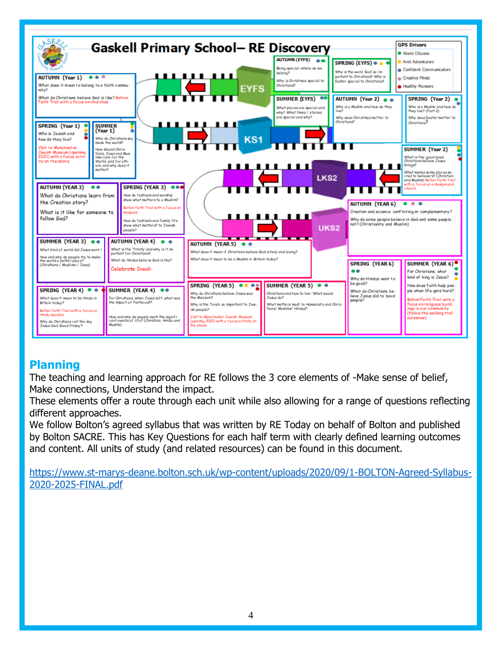

# **Planning**

The teaching and learning approach for RE follows the 3 core elements of -Make sense of belief, Make connections, Understand the impact.

These elements offer a route through each unit while also allowing for a range of questions reflecting different approaches.

We follow Bolton's agreed syllabus that was written by RE Today on behalf of Bolton and published by Bolton SACRE. This has Key Questions for each half term with clearly defined learning outcomes and content. All units of study (and related resources) can be found in this document.

[https://www.st-marys-deane.bolton.sch.uk/wp-content/uploads/2020/09/1-BOLTON-Agreed-Syllabus-](https://www.st-marys-deane.bolton.sch.uk/wp-content/uploads/2020/09/1-BOLTON-Agreed-Syllabus-2020-2025-FINAL.pdf)[2020-2025-FINAL.pdf](https://www.st-marys-deane.bolton.sch.uk/wp-content/uploads/2020/09/1-BOLTON-Agreed-Syllabus-2020-2025-FINAL.pdf)